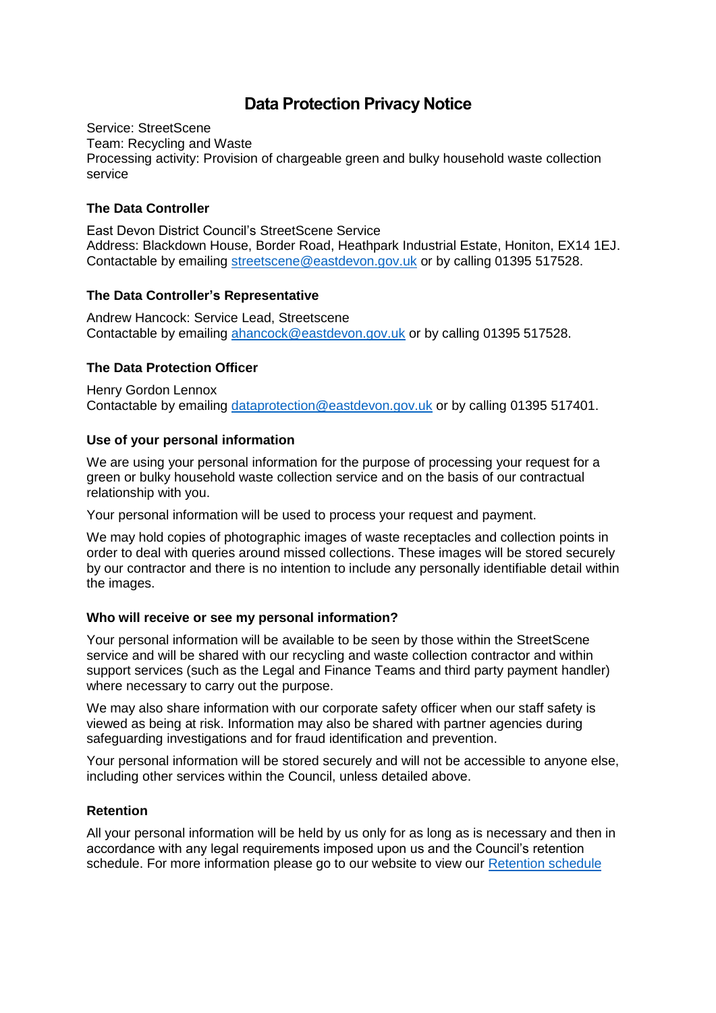# **Data Protection Privacy Notice**

Service: StreetScene Team: Recycling and Waste Processing activity: Provision of chargeable green and bulky household waste collection service

## **The Data Controller**

East Devon District Council's StreetScene Service Address: Blackdown House, Border Road, Heathpark Industrial Estate, Honiton, EX14 1EJ. Contactable by emailing [streetscene@eastdevon.gov.uk](mailto:streetscene@eastdevon.gov.uk) or by calling 01395 517528.

## **The Data Controller's Representative**

Andrew Hancock: Service Lead, Streetscene Contactable by emailing [ahancock@eastdevon.gov.uk](mailto:ahancock@eastdevon.gov.uk) or by calling 01395 517528.

## **The Data Protection Officer**

Henry Gordon Lennox Contactable by emailing [dataprotection@eastdevon.gov.uk](mailto:dataprotection@eastdevon.gov.uk) or by calling 01395 517401.

#### **Use of your personal information**

We are using your personal information for the purpose of processing your request for a green or bulky household waste collection service and on the basis of our contractual relationship with you.

Your personal information will be used to process your request and payment.

We may hold copies of photographic images of waste receptacles and collection points in order to deal with queries around missed collections. These images will be stored securely by our contractor and there is no intention to include any personally identifiable detail within the images.

## **Who will receive or see my personal information?**

Your personal information will be available to be seen by those within the StreetScene service and will be shared with our recycling and waste collection contractor and within support services (such as the Legal and Finance Teams and third party payment handler) where necessary to carry out the purpose.

We may also share information with our corporate safety officer when our staff safety is viewed as being at risk. Information may also be shared with partner agencies during safeguarding investigations and for fraud identification and prevention.

Your personal information will be stored securely and will not be accessible to anyone else, including other services within the Council, unless detailed above.

## **Retention**

All your personal information will be held by us only for as long as is necessary and then in accordance with any legal requirements imposed upon us and the Council's retention schedule. For more information please go to our website to view our [Retention schedule](http://eastdevon.gov.uk/access-to-information/data-protection/document-retention-schedules/)